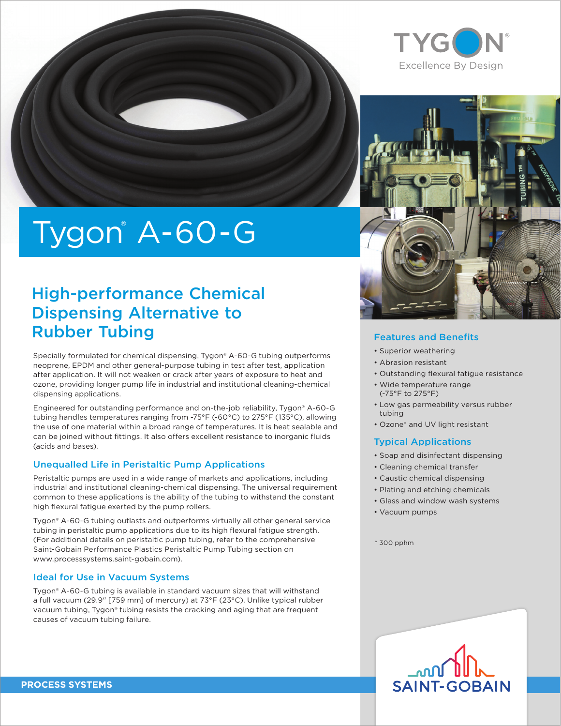

# Tygon® A-60-G

### High-performance Chemical Dispensing Alternative to Rubber Tubing

Specially formulated for chemical dispensing, Tygon® A-60-G tubing outperforms neoprene, EPDM and other general-purpose tubing in test after test, application after application. It will not weaken or crack after years of exposure to heat and ozone, providing longer pump life in industrial and institutional cleaning-chemical dispensing applications.

Engineered for outstanding performance and on-the-job reliability, Tygon® A-60-G tubing handles temperatures ranging from -75°F (-60°C) to 275°F (135°C), allowing the use of one material within a broad range of temperatures. It is heat sealable and can be joined without fittings. It also offers excellent resistance to inorganic fluids (acids and bases).

### Unequalled Life in Peristaltic Pump Applications

Peristaltic pumps are used in a wide range of markets and applications, including industrial and institutional cleaning-chemical dispensing. The universal requirement common to these applications is the ability of the tubing to withstand the constant high flexural fatigue exerted by the pump rollers.

Tygon® A-60-G tubing outlasts and outperforms virtually all other general service tubing in peristaltic pump applications due to its high flexural fatigue strength. (For additional details on peristaltic pump tubing, refer to the comprehensive Saint-Gobain Performance Plastics Peristaltic Pump Tubing section on www.processsystems.saint-gobain.com).

### Ideal for Use in Vacuum Systems

Tygon® A-60-G tubing is available in standard vacuum sizes that will withstand a full vacuum (29.9" [759 mm] of mercury) at 73°F (23°C). Unlike typical rubber vacuum tubing, Tygon® tubing resists the cracking and aging that are frequent causes of vacuum tubing failure.





### Features and Benefits

- Superior weathering
- Abrasion resistant
- Outstanding flexural fatigue resistance
- Wide temperature range (-75°F to 275°F)
- Low gas permeability versus rubber tubing
- Ozone\* and UV light resistant

### Typical Applications

- Soap and disinfectant dispensing
- Cleaning chemical transfer
- Caustic chemical dispensing
- Plating and etching chemicals
- Glass and window wash systems
- Vacuum pumps
- $*$  300 pphm